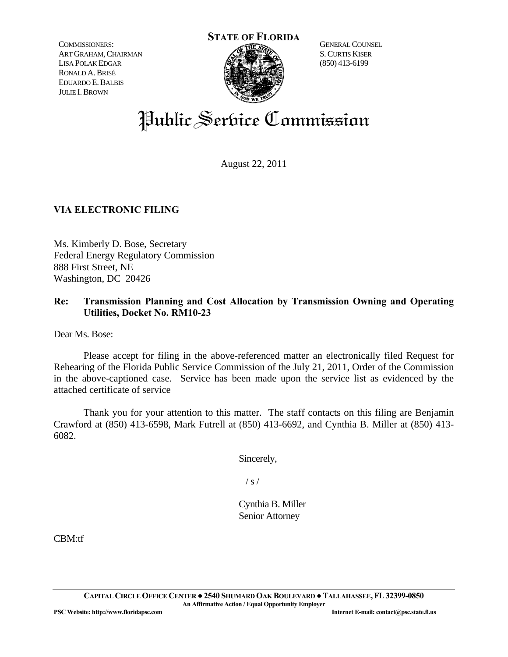COMMISSIONERS: ART GRAHAM, CHAIRMAN LISA POLAK EDGAR RONALD A.BRISÉ EDUARDO E.BALBIS JULIE I.BROWN



GENERAL COUNSEL S.CURTIS KISER (850) 413-6199

# Public Service Commission

August 22, 2011

## **VIA ELECTRONIC FILING**

Ms. Kimberly D. Bose, Secretary Federal Energy Regulatory Commission 888 First Street, NE Washington, DC 20426

## **Re: Transmission Planning and Cost Allocation by Transmission Owning and Operating Utilities, Docket No. RM10-23**

Dear Ms. Bose:

 Please accept for filing in the above-referenced matter an electronically filed Request for Rehearing of the Florida Public Service Commission of the July 21, 2011, Order of the Commission in the above-captioned case. Service has been made upon the service list as evidenced by the attached certificate of service

 Thank you for your attention to this matter. The staff contacts on this filing are Benjamin Crawford at (850) 413-6598, Mark Futrell at (850) 413-6692, and Cynthia B. Miller at (850) 413- 6082.

Sincerely,

 $/ s /$ 

Cynthia B. Miller Senior Attorney

CBM:tf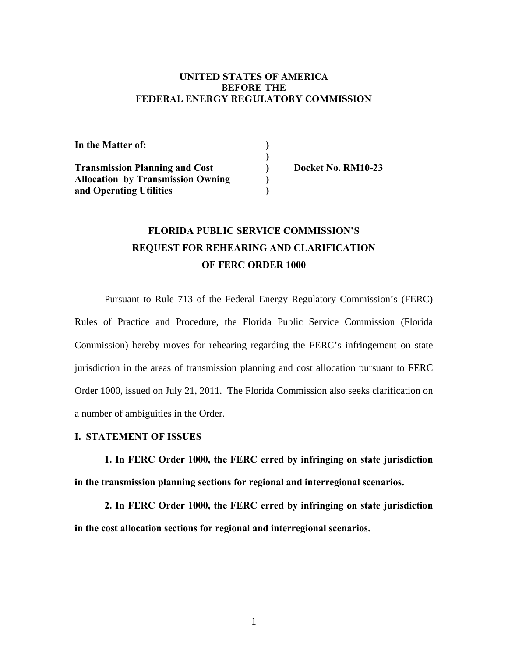#### **UNITED STATES OF AMERICA BEFORE THE FEDERAL ENERGY REGULATORY COMMISSION**

| In the Matter of:                        |                    |
|------------------------------------------|--------------------|
|                                          |                    |
| <b>Transmission Planning and Cost</b>    | Docket No. RM10-23 |
| <b>Allocation by Transmission Owning</b> |                    |
| and Operating Utilities                  |                    |

# **FLORIDA PUBLIC SERVICE COMMISSION'S REQUEST FOR REHEARING AND CLARIFICATION OF FERC ORDER 1000**

 Pursuant to Rule 713 of the Federal Energy Regulatory Commission's (FERC) Rules of Practice and Procedure, the Florida Public Service Commission (Florida Commission) hereby moves for rehearing regarding the FERC's infringement on state jurisdiction in the areas of transmission planning and cost allocation pursuant to FERC Order 1000, issued on July 21, 2011. The Florida Commission also seeks clarification on a number of ambiguities in the Order.

### **I. STATEMENT OF ISSUES**

**1. In FERC Order 1000, the FERC erred by infringing on state jurisdiction in the transmission planning sections for regional and interregional scenarios.** 

**2. In FERC Order 1000, the FERC erred by infringing on state jurisdiction in the cost allocation sections for regional and interregional scenarios.**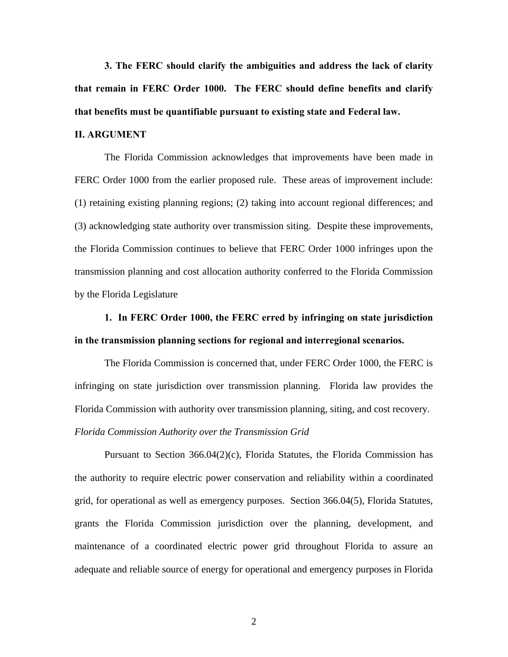**3. The FERC should clarify the ambiguities and address the lack of clarity that remain in FERC Order 1000. The FERC should define benefits and clarify that benefits must be quantifiable pursuant to existing state and Federal law.**

#### **II. ARGUMENT**

The Florida Commission acknowledges that improvements have been made in FERC Order 1000 from the earlier proposed rule. These areas of improvement include: (1) retaining existing planning regions; (2) taking into account regional differences; and (3) acknowledging state authority over transmission siting. Despite these improvements, the Florida Commission continues to believe that FERC Order 1000 infringes upon the transmission planning and cost allocation authority conferred to the Florida Commission by the Florida Legislature

 **1. In FERC Order 1000, the FERC erred by infringing on state jurisdiction in the transmission planning sections for regional and interregional scenarios.** 

The Florida Commission is concerned that, under FERC Order 1000, the FERC is infringing on state jurisdiction over transmission planning. Florida law provides the Florida Commission with authority over transmission planning, siting, and cost recovery. *Florida Commission Authority over the Transmission Grid* 

 Pursuant to Section 366.04(2)(c), Florida Statutes, the Florida Commission has the authority to require electric power conservation and reliability within a coordinated grid, for operational as well as emergency purposes. Section 366.04(5), Florida Statutes, grants the Florida Commission jurisdiction over the planning, development, and maintenance of a coordinated electric power grid throughout Florida to assure an adequate and reliable source of energy for operational and emergency purposes in Florida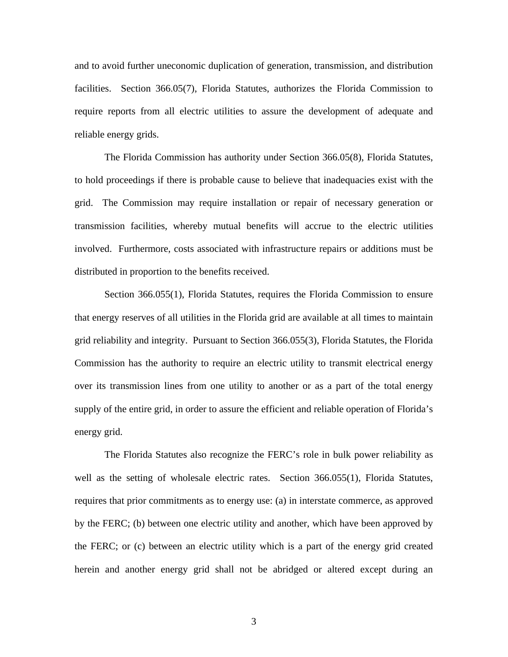and to avoid further uneconomic duplication of generation, transmission, and distribution facilities. Section 366.05(7), Florida Statutes, authorizes the Florida Commission to require reports from all electric utilities to assure the development of adequate and reliable energy grids.

 The Florida Commission has authority under Section 366.05(8), Florida Statutes, to hold proceedings if there is probable cause to believe that inadequacies exist with the grid. The Commission may require installation or repair of necessary generation or transmission facilities, whereby mutual benefits will accrue to the electric utilities involved. Furthermore, costs associated with infrastructure repairs or additions must be distributed in proportion to the benefits received.

 Section 366.055(1), Florida Statutes, requires the Florida Commission to ensure that energy reserves of all utilities in the Florida grid are available at all times to maintain grid reliability and integrity. Pursuant to Section 366.055(3), Florida Statutes, the Florida Commission has the authority to require an electric utility to transmit electrical energy over its transmission lines from one utility to another or as a part of the total energy supply of the entire grid, in order to assure the efficient and reliable operation of Florida's energy grid.

 The Florida Statutes also recognize the FERC's role in bulk power reliability as well as the setting of wholesale electric rates. Section 366.055(1), Florida Statutes, requires that prior commitments as to energy use: (a) in interstate commerce, as approved by the FERC; (b) between one electric utility and another, which have been approved by the FERC; or (c) between an electric utility which is a part of the energy grid created herein and another energy grid shall not be abridged or altered except during an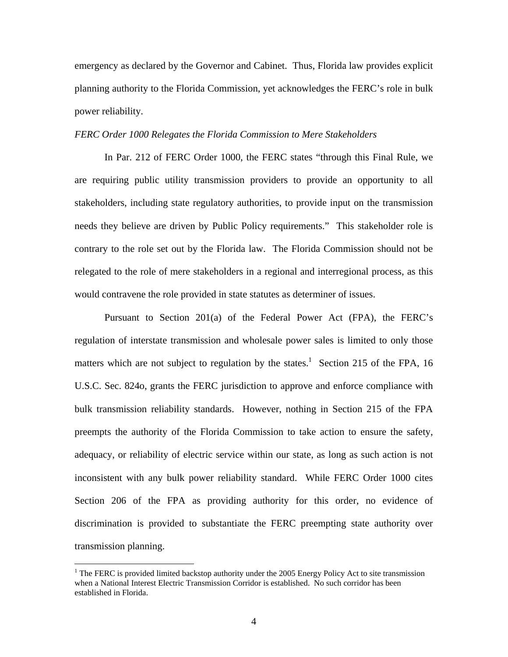emergency as declared by the Governor and Cabinet. Thus, Florida law provides explicit planning authority to the Florida Commission, yet acknowledges the FERC's role in bulk power reliability.

#### *FERC Order 1000 Relegates the Florida Commission to Mere Stakeholders*

 In Par. 212 of FERC Order 1000, the FERC states "through this Final Rule, we are requiring public utility transmission providers to provide an opportunity to all stakeholders, including state regulatory authorities, to provide input on the transmission needs they believe are driven by Public Policy requirements." This stakeholder role is contrary to the role set out by the Florida law. The Florida Commission should not be relegated to the role of mere stakeholders in a regional and interregional process, as this would contravene the role provided in state statutes as determiner of issues.

 Pursuant to Section 201(a) of the Federal Power Act (FPA), the FERC's regulation of interstate transmission and wholesale power sales is limited to only those matters which are not subject to regulation by the states.<sup>1</sup> Section 215 of the FPA, 16 U.S.C. Sec. 824o, grants the FERC jurisdiction to approve and enforce compliance with bulk transmission reliability standards. However, nothing in Section 215 of the FPA preempts the authority of the Florida Commission to take action to ensure the safety, adequacy, or reliability of electric service within our state, as long as such action is not inconsistent with any bulk power reliability standard. While FERC Order 1000 cites Section 206 of the FPA as providing authority for this order, no evidence of discrimination is provided to substantiate the FERC preempting state authority over transmission planning.

 $\overline{a}$ 

 $1$  The FERC is provided limited backstop authority under the 2005 Energy Policy Act to site transmission when a National Interest Electric Transmission Corridor is established. No such corridor has been established in Florida.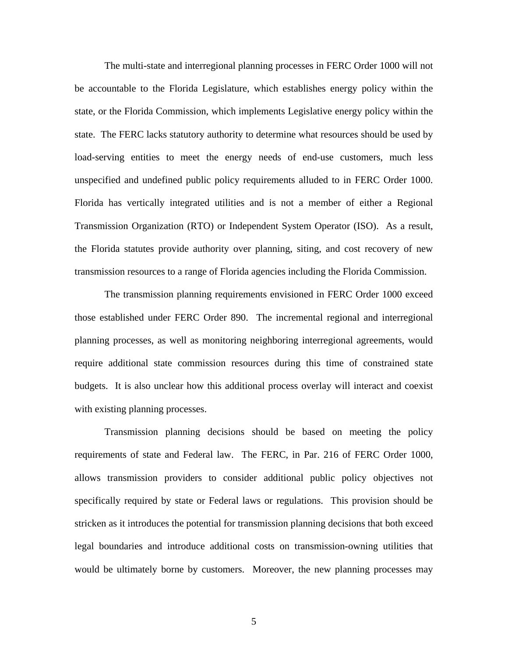The multi-state and interregional planning processes in FERC Order 1000 will not be accountable to the Florida Legislature, which establishes energy policy within the state, or the Florida Commission, which implements Legislative energy policy within the state. The FERC lacks statutory authority to determine what resources should be used by load-serving entities to meet the energy needs of end-use customers, much less unspecified and undefined public policy requirements alluded to in FERC Order 1000. Florida has vertically integrated utilities and is not a member of either a Regional Transmission Organization (RTO) or Independent System Operator (ISO). As a result, the Florida statutes provide authority over planning, siting, and cost recovery of new transmission resources to a range of Florida agencies including the Florida Commission.

 The transmission planning requirements envisioned in FERC Order 1000 exceed those established under FERC Order 890. The incremental regional and interregional planning processes, as well as monitoring neighboring interregional agreements, would require additional state commission resources during this time of constrained state budgets. It is also unclear how this additional process overlay will interact and coexist with existing planning processes.

 Transmission planning decisions should be based on meeting the policy requirements of state and Federal law. The FERC, in Par. 216 of FERC Order 1000, allows transmission providers to consider additional public policy objectives not specifically required by state or Federal laws or regulations. This provision should be stricken as it introduces the potential for transmission planning decisions that both exceed legal boundaries and introduce additional costs on transmission-owning utilities that would be ultimately borne by customers. Moreover, the new planning processes may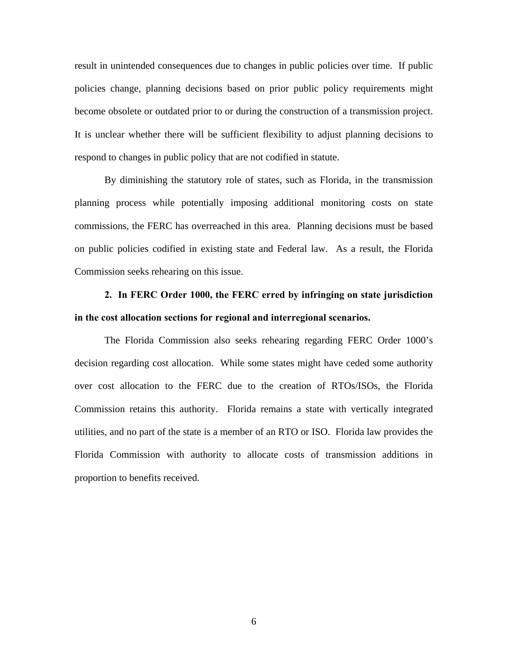result in unintended consequences due to changes in public policies over time. If public policies change, planning decisions based on prior public policy requirements might become obsolete or outdated prior to or during the construction of a transmission project. It is unclear whether there will be sufficient flexibility to adjust planning decisions to respond to changes in public policy that are not codified in statute.

By diminishing the statutory role of states, such as Florida, in the transmission planning process while potentially imposing additional monitoring costs on state commissions, the FERC has overreached in this area. Planning decisions must be based on public policies codified in existing state and Federal law. As a result, the Florida Commission seeks rehearing on this issue.

# **2. In FERC Order 1000, the FERC erred by infringing on state jurisdiction in the cost allocation sections for regional and interregional scenarios.**

 The Florida Commission also seeks rehearing regarding FERC Order 1000's decision regarding cost allocation. While some states might have ceded some authority over cost allocation to the FERC due to the creation of RTOs/ISOs, the Florida Commission retains this authority. Florida remains a state with vertically integrated utilities, and no part of the state is a member of an RTO or ISO. Florida law provides the Florida Commission with authority to allocate costs of transmission additions in proportion to benefits received.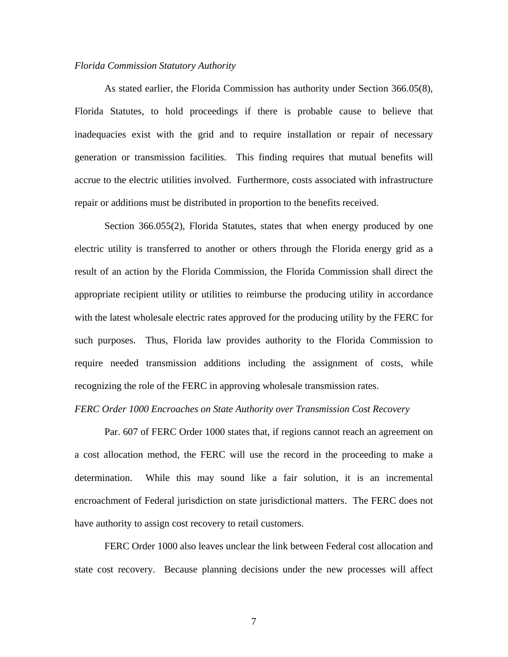#### *Florida Commission Statutory Authority*

 As stated earlier, the Florida Commission has authority under Section 366.05(8), Florida Statutes, to hold proceedings if there is probable cause to believe that inadequacies exist with the grid and to require installation or repair of necessary generation or transmission facilities. This finding requires that mutual benefits will accrue to the electric utilities involved. Furthermore, costs associated with infrastructure repair or additions must be distributed in proportion to the benefits received.

 Section 366.055(2), Florida Statutes, states that when energy produced by one electric utility is transferred to another or others through the Florida energy grid as a result of an action by the Florida Commission, the Florida Commission shall direct the appropriate recipient utility or utilities to reimburse the producing utility in accordance with the latest wholesale electric rates approved for the producing utility by the FERC for such purposes. Thus, Florida law provides authority to the Florida Commission to require needed transmission additions including the assignment of costs, while recognizing the role of the FERC in approving wholesale transmission rates.

#### *FERC Order 1000 Encroaches on State Authority over Transmission Cost Recovery*

 Par. 607 of FERC Order 1000 states that, if regions cannot reach an agreement on a cost allocation method, the FERC will use the record in the proceeding to make a determination. While this may sound like a fair solution, it is an incremental encroachment of Federal jurisdiction on state jurisdictional matters. The FERC does not have authority to assign cost recovery to retail customers.

FERC Order 1000 also leaves unclear the link between Federal cost allocation and state cost recovery. Because planning decisions under the new processes will affect

7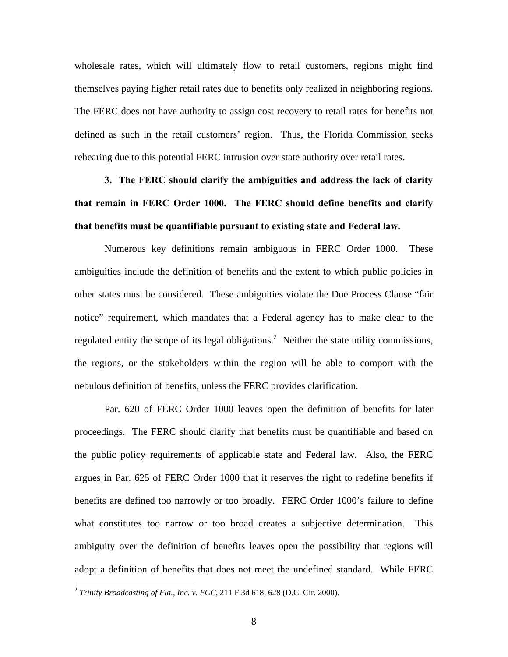wholesale rates, which will ultimately flow to retail customers, regions might find themselves paying higher retail rates due to benefits only realized in neighboring regions. The FERC does not have authority to assign cost recovery to retail rates for benefits not defined as such in the retail customers' region. Thus, the Florida Commission seeks rehearing due to this potential FERC intrusion over state authority over retail rates.

**3. The FERC should clarify the ambiguities and address the lack of clarity that remain in FERC Order 1000. The FERC should define benefits and clarify that benefits must be quantifiable pursuant to existing state and Federal law.** 

Numerous key definitions remain ambiguous in FERC Order 1000. These ambiguities include the definition of benefits and the extent to which public policies in other states must be considered. These ambiguities violate the Due Process Clause "fair notice" requirement, which mandates that a Federal agency has to make clear to the regulated entity the scope of its legal obligations.<sup>2</sup> Neither the state utility commissions, the regions, or the stakeholders within the region will be able to comport with the nebulous definition of benefits, unless the FERC provides clarification.

Par. 620 of FERC Order 1000 leaves open the definition of benefits for later proceedings. The FERC should clarify that benefits must be quantifiable and based on the public policy requirements of applicable state and Federal law. Also, the FERC argues in Par. 625 of FERC Order 1000 that it reserves the right to redefine benefits if benefits are defined too narrowly or too broadly. FERC Order 1000's failure to define what constitutes too narrow or too broad creates a subjective determination. This ambiguity over the definition of benefits leaves open the possibility that regions will adopt a definition of benefits that does not meet the undefined standard. While FERC

 $\overline{a}$ 

 $^{2}$  *Trinity Broadcasting of Fla., Inc. v. FCC*, 211 F.3d 618, 628 (D.C. Cir. 2000).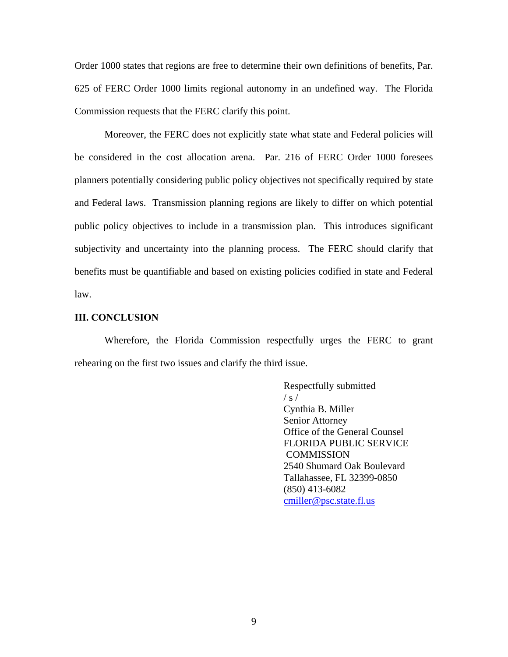Order 1000 states that regions are free to determine their own definitions of benefits, Par. 625 of FERC Order 1000 limits regional autonomy in an undefined way. The Florida Commission requests that the FERC clarify this point.

Moreover, the FERC does not explicitly state what state and Federal policies will be considered in the cost allocation arena. Par. 216 of FERC Order 1000 foresees planners potentially considering public policy objectives not specifically required by state and Federal laws. Transmission planning regions are likely to differ on which potential public policy objectives to include in a transmission plan. This introduces significant subjectivity and uncertainty into the planning process. The FERC should clarify that benefits must be quantifiable and based on existing policies codified in state and Federal law.

#### **III. CONCLUSION**

Wherefore, the Florida Commission respectfully urges the FERC to grant rehearing on the first two issues and clarify the third issue.

 Respectfully submitted  $\frac{1}{s}$  / Cynthia B. Miller Senior Attorney Office of the General Counsel FLORIDA PUBLIC SERVICE COMMISSION 2540 Shumard Oak Boulevard Tallahassee, FL 32399-0850 (850) 413-6082 cmiller@psc.state.fl.us